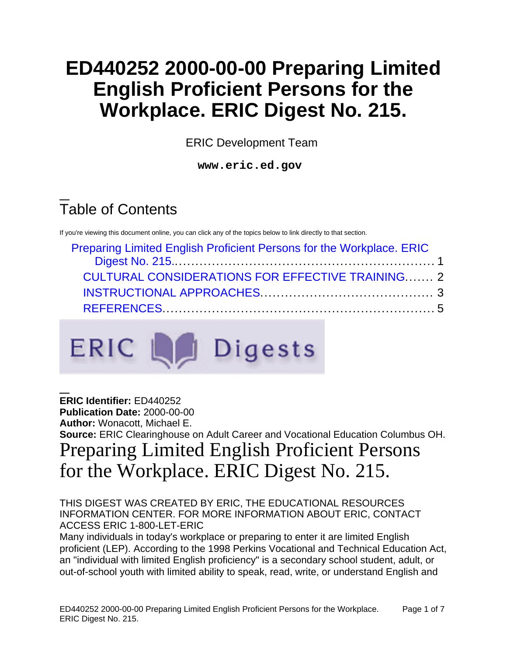# **ED440252 2000-00-00 Preparing Limited English Proficient Persons for the Workplace. ERIC Digest No. 215.**

ERIC Development Team

**www.eric.ed.gov**

# Table of Contents

If you're viewing this document online, you can click any of the topics below to link directly to that section.

| Preparing Limited English Proficient Persons for the Workplace. ERIC |  |  |
|----------------------------------------------------------------------|--|--|
|                                                                      |  |  |
| <b>CULTURAL CONSIDERATIONS FOR EFFECTIVE TRAINING 2</b>              |  |  |
|                                                                      |  |  |
|                                                                      |  |  |



<span id="page-0-0"></span>**ERIC Identifier:** ED440252 **Publication Date:** 2000-00-00 **Author:** Wonacott, Michael E. **Source:** ERIC Clearinghouse on Adult Career and Vocational Education Columbus OH. Preparing Limited English Proficient Persons for the Workplace. ERIC Digest No. 215.

#### THIS DIGEST WAS CREATED BY ERIC, THE EDUCATIONAL RESOURCES INFORMATION CENTER. FOR MORE INFORMATION ABOUT ERIC, CONTACT ACCESS ERIC 1-800-LET-ERIC

Many individuals in today's workplace or preparing to enter it are limited English proficient (LEP). According to the 1998 Perkins Vocational and Technical Education Act, an "individual with limited English proficiency" is a secondary school student, adult, or out-of-school youth with limited ability to speak, read, write, or understand English and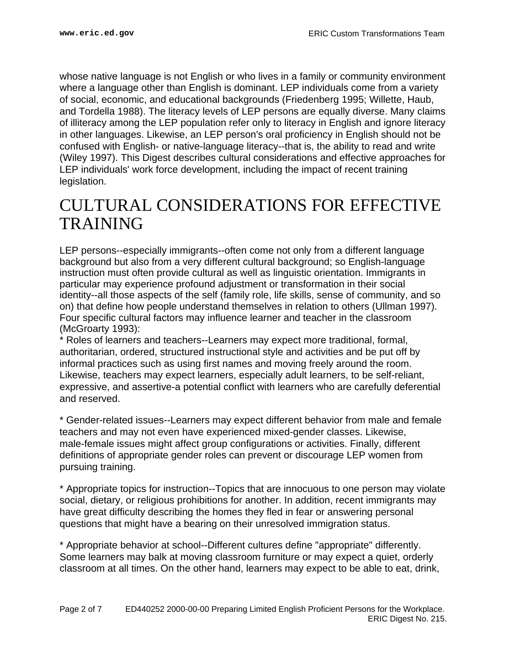whose native language is not English or who lives in a family or community environment where a language other than English is dominant. LEP individuals come from a variety of social, economic, and educational backgrounds (Friedenberg 1995; Willette, Haub, and Tordella 1988). The literacy levels of LEP persons are equally diverse. Many claims of illiteracy among the LEP population refer only to literacy in English and ignore literacy in other languages. Likewise, an LEP person's oral proficiency in English should not be confused with English- or native-language literacy--that is, the ability to read and write (Wiley 1997). This Digest describes cultural considerations and effective approaches for LEP individuals' work force development, including the impact of recent training legislation.

## <span id="page-1-0"></span>CULTURAL CONSIDERATIONS FOR EFFECTIVE **TRAINING**

LEP persons--especially immigrants--often come not only from a different language background but also from a very different cultural background; so English-language instruction must often provide cultural as well as linguistic orientation. Immigrants in particular may experience profound adjustment or transformation in their social identity--all those aspects of the self (family role, life skills, sense of community, and so on) that define how people understand themselves in relation to others (Ullman 1997). Four specific cultural factors may influence learner and teacher in the classroom (McGroarty 1993):

\* Roles of learners and teachers--Learners may expect more traditional, formal, authoritarian, ordered, structured instructional style and activities and be put off by informal practices such as using first names and moving freely around the room. Likewise, teachers may expect learners, especially adult learners, to be self-reliant, expressive, and assertive-a potential conflict with learners who are carefully deferential and reserved.

\* Gender-related issues--Learners may expect different behavior from male and female teachers and may not even have experienced mixed-gender classes. Likewise, male-female issues might affect group configurations or activities. Finally, different definitions of appropriate gender roles can prevent or discourage LEP women from pursuing training.

\* Appropriate topics for instruction--Topics that are innocuous to one person may violate social, dietary, or religious prohibitions for another. In addition, recent immigrants may have great difficulty describing the homes they fled in fear or answering personal questions that might have a bearing on their unresolved immigration status.

\* Appropriate behavior at school--Different cultures define "appropriate" differently. Some learners may balk at moving classroom furniture or may expect a quiet, orderly classroom at all times. On the other hand, learners may expect to be able to eat, drink,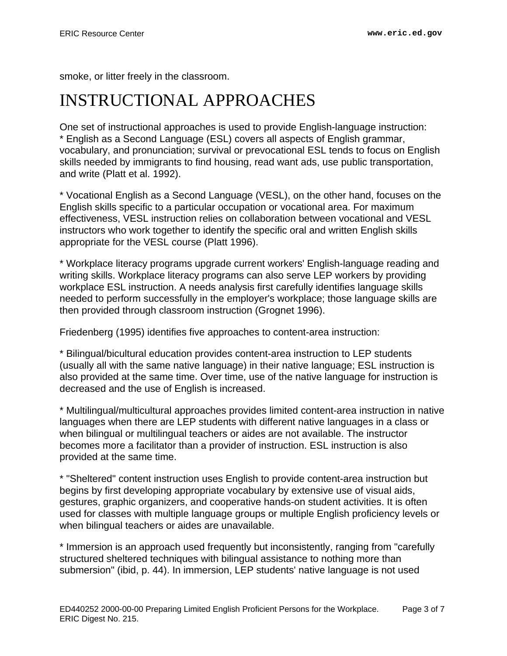smoke, or litter freely in the classroom.

## <span id="page-2-0"></span>INSTRUCTIONAL APPROACHES

One set of instructional approaches is used to provide English-language instruction: \* English as a Second Language (ESL) covers all aspects of English grammar, vocabulary, and pronunciation; survival or prevocational ESL tends to focus on English skills needed by immigrants to find housing, read want ads, use public transportation, and write (Platt et al. 1992).

\* Vocational English as a Second Language (VESL), on the other hand, focuses on the English skills specific to a particular occupation or vocational area. For maximum effectiveness, VESL instruction relies on collaboration between vocational and VESL instructors who work together to identify the specific oral and written English skills appropriate for the VESL course (Platt 1996).

\* Workplace literacy programs upgrade current workers' English-language reading and writing skills. Workplace literacy programs can also serve LEP workers by providing workplace ESL instruction. A needs analysis first carefully identifies language skills needed to perform successfully in the employer's workplace; those language skills are then provided through classroom instruction (Grognet 1996).

Friedenberg (1995) identifies five approaches to content-area instruction:

\* Bilingual/bicultural education provides content-area instruction to LEP students (usually all with the same native language) in their native language; ESL instruction is also provided at the same time. Over time, use of the native language for instruction is decreased and the use of English is increased.

\* Multilingual/multicultural approaches provides limited content-area instruction in native languages when there are LEP students with different native languages in a class or when bilingual or multilingual teachers or aides are not available. The instructor becomes more a facilitator than a provider of instruction. ESL instruction is also provided at the same time.

\* "Sheltered" content instruction uses English to provide content-area instruction but begins by first developing appropriate vocabulary by extensive use of visual aids, gestures, graphic organizers, and cooperative hands-on student activities. It is often used for classes with multiple language groups or multiple English proficiency levels or when bilingual teachers or aides are unavailable.

\* Immersion is an approach used frequently but inconsistently, ranging from "carefully structured sheltered techniques with bilingual assistance to nothing more than submersion" (ibid, p. 44). In immersion, LEP students' native language is not used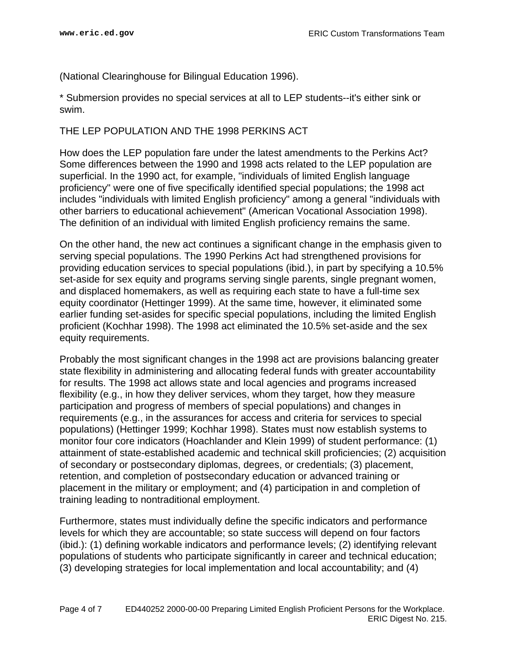(National Clearinghouse for Bilingual Education 1996).

\* Submersion provides no special services at all to LEP students--it's either sink or swim.

#### THE LEP POPULATION AND THE 1998 PERKINS ACT

How does the LEP population fare under the latest amendments to the Perkins Act? Some differences between the 1990 and 1998 acts related to the LEP population are superficial. In the 1990 act, for example, "individuals of limited English language proficiency" were one of five specifically identified special populations; the 1998 act includes "individuals with limited English proficiency" among a general "individuals with other barriers to educational achievement" (American Vocational Association 1998). The definition of an individual with limited English proficiency remains the same.

On the other hand, the new act continues a significant change in the emphasis given to serving special populations. The 1990 Perkins Act had strengthened provisions for providing education services to special populations (ibid.), in part by specifying a 10.5% set-aside for sex equity and programs serving single parents, single pregnant women, and displaced homemakers, as well as requiring each state to have a full-time sex equity coordinator (Hettinger 1999). At the same time, however, it eliminated some earlier funding set-asides for specific special populations, including the limited English proficient (Kochhar 1998). The 1998 act eliminated the 10.5% set-aside and the sex equity requirements.

Probably the most significant changes in the 1998 act are provisions balancing greater state flexibility in administering and allocating federal funds with greater accountability for results. The 1998 act allows state and local agencies and programs increased flexibility (e.g., in how they deliver services, whom they target, how they measure participation and progress of members of special populations) and changes in requirements (e.g., in the assurances for access and criteria for services to special populations) (Hettinger 1999; Kochhar 1998). States must now establish systems to monitor four core indicators (Hoachlander and Klein 1999) of student performance: (1) attainment of state-established academic and technical skill proficiencies; (2) acquisition of secondary or postsecondary diplomas, degrees, or credentials; (3) placement, retention, and completion of postsecondary education or advanced training or placement in the military or employment; and (4) participation in and completion of training leading to nontraditional employment.

Furthermore, states must individually define the specific indicators and performance levels for which they are accountable; so state success will depend on four factors (ibid.): (1) defining workable indicators and performance levels; (2) identifying relevant populations of students who participate significantly in career and technical education; (3) developing strategies for local implementation and local accountability; and (4)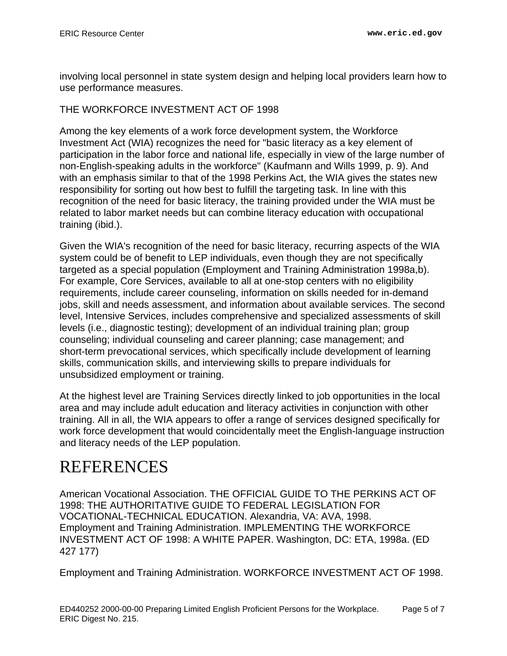involving local personnel in state system design and helping local providers learn how to use performance measures.

### THE WORKFORCE INVESTMENT ACT OF 1998

Among the key elements of a work force development system, the Workforce Investment Act (WIA) recognizes the need for "basic literacy as a key element of participation in the labor force and national life, especially in view of the large number of non-English-speaking adults in the workforce" (Kaufmann and Wills 1999, p. 9). And with an emphasis similar to that of the 1998 Perkins Act, the WIA gives the states new responsibility for sorting out how best to fulfill the targeting task. In line with this recognition of the need for basic literacy, the training provided under the WIA must be related to labor market needs but can combine literacy education with occupational training (ibid.).

Given the WIA's recognition of the need for basic literacy, recurring aspects of the WIA system could be of benefit to LEP individuals, even though they are not specifically targeted as a special population (Employment and Training Administration 1998a,b). For example, Core Services, available to all at one-stop centers with no eligibility requirements, include career counseling, information on skills needed for in-demand jobs, skill and needs assessment, and information about available services. The second level, Intensive Services, includes comprehensive and specialized assessments of skill levels (i.e., diagnostic testing); development of an individual training plan; group counseling; individual counseling and career planning; case management; and short-term prevocational services, which specifically include development of learning skills, communication skills, and interviewing skills to prepare individuals for unsubsidized employment or training.

At the highest level are Training Services directly linked to job opportunities in the local area and may include adult education and literacy activities in conjunction with other training. All in all, the WIA appears to offer a range of services designed specifically for work force development that would coincidentally meet the English-language instruction and literacy needs of the LEP population.

## <span id="page-4-0"></span>REFERENCES

American Vocational Association. THE OFFICIAL GUIDE TO THE PERKINS ACT OF 1998: THE AUTHORITATIVE GUIDE TO FEDERAL LEGISLATION FOR VOCATIONAL-TECHNICAL EDUCATION. Alexandria, VA: AVA, 1998. Employment and Training Administration. IMPLEMENTING THE WORKFORCE INVESTMENT ACT OF 1998: A WHITE PAPER. Washington, DC: ETA, 1998a. (ED 427 177)

Employment and Training Administration. WORKFORCE INVESTMENT ACT OF 1998.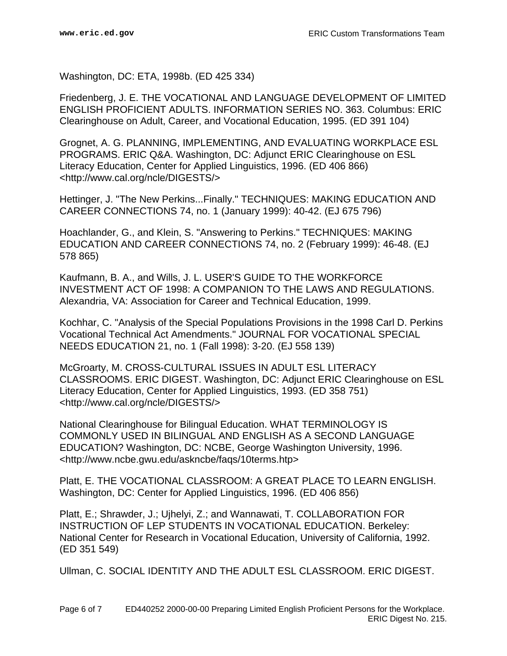Washington, DC: ETA, 1998b. (ED 425 334)

Friedenberg, J. E. THE VOCATIONAL AND LANGUAGE DEVELOPMENT OF LIMITED ENGLISH PROFICIENT ADULTS. INFORMATION SERIES NO. 363. Columbus: ERIC Clearinghouse on Adult, Career, and Vocational Education, 1995. (ED 391 104)

Grognet, A. G. PLANNING, IMPLEMENTING, AND EVALUATING WORKPLACE ESL PROGRAMS. ERIC Q&A. Washington, DC: Adjunct ERIC Clearinghouse on ESL Literacy Education, Center for Applied Linguistics, 1996. (ED 406 866) <http://www.cal.org/ncle/DIGESTS/>

Hettinger, J. "The New Perkins...Finally." TECHNIQUES: MAKING EDUCATION AND CAREER CONNECTIONS 74, no. 1 (January 1999): 40-42. (EJ 675 796)

Hoachlander, G., and Klein, S. "Answering to Perkins." TECHNIQUES: MAKING EDUCATION AND CAREER CONNECTIONS 74, no. 2 (February 1999): 46-48. (EJ 578 865)

Kaufmann, B. A., and Wills, J. L. USER'S GUIDE TO THE WORKFORCE INVESTMENT ACT OF 1998: A COMPANION TO THE LAWS AND REGULATIONS. Alexandria, VA: Association for Career and Technical Education, 1999.

Kochhar, C. "Analysis of the Special Populations Provisions in the 1998 Carl D. Perkins Vocational Technical Act Amendments." JOURNAL FOR VOCATIONAL SPECIAL NEEDS EDUCATION 21, no. 1 (Fall 1998): 3-20. (EJ 558 139)

McGroarty, M. CROSS-CULTURAL ISSUES IN ADULT ESL LITERACY CLASSROOMS. ERIC DIGEST. Washington, DC: Adjunct ERIC Clearinghouse on ESL Literacy Education, Center for Applied Linguistics, 1993. (ED 358 751) <http://www.cal.org/ncle/DIGESTS/>

National Clearinghouse for Bilingual Education. WHAT TERMINOLOGY IS COMMONLY USED IN BILINGUAL AND ENGLISH AS A SECOND LANGUAGE EDUCATION? Washington, DC: NCBE, George Washington University, 1996. <http://www.ncbe.gwu.edu/askncbe/faqs/10terms.htp>

Platt, E. THE VOCATIONAL CLASSROOM: A GREAT PLACE TO LEARN ENGLISH. Washington, DC: Center for Applied Linguistics, 1996. (ED 406 856)

Platt, E.; Shrawder, J.; Ujhelyi, Z.; and Wannawati, T. COLLABORATION FOR INSTRUCTION OF LEP STUDENTS IN VOCATIONAL EDUCATION. Berkeley: National Center for Research in Vocational Education, University of California, 1992. (ED 351 549)

Ullman, C. SOCIAL IDENTITY AND THE ADULT ESL CLASSROOM. ERIC DIGEST.